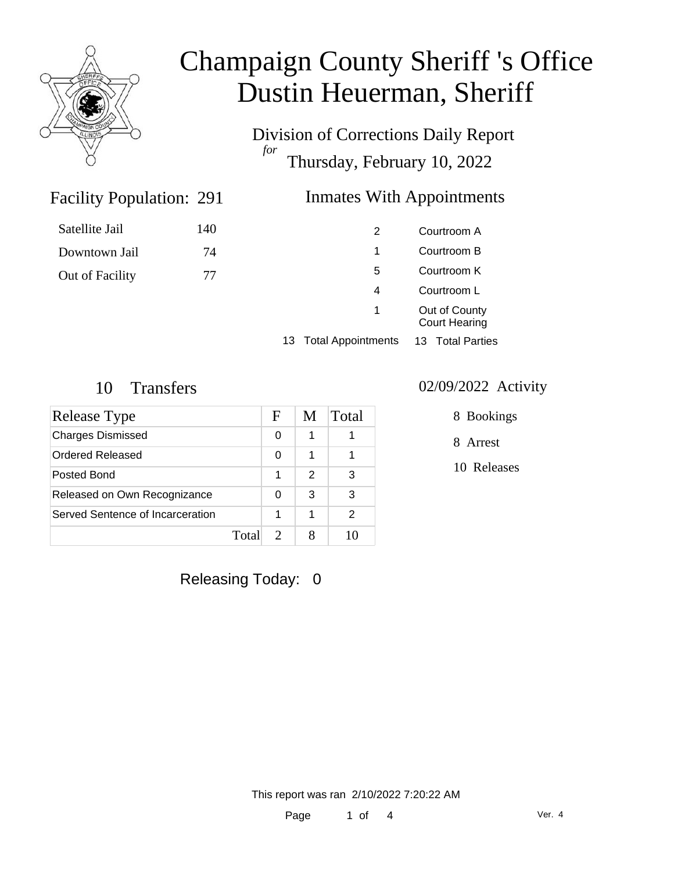

Satellite Jail

Downtown Jail

Out of Facility

## Champaign County Sheriff 's Office Dustin Heuerman, Sheriff

Division of Corrections Daily Report *for* Thursday, February 10, 2022

### Inmates With Appointments

| 140 |  | 2 | Courtroom A                           |
|-----|--|---|---------------------------------------|
| 74  |  | 1 | Courtroom B                           |
| 77  |  | 5 | Courtroom K                           |
|     |  | 4 | Courtroom L                           |
|     |  | 1 | Out of County<br><b>Court Hearing</b> |
|     |  |   |                                       |

13 Total Appointments 13 Total Parties

Facility Population: 291

| Release Type                     |       | F | M             | Total |
|----------------------------------|-------|---|---------------|-------|
| <b>Charges Dismissed</b>         |       | O |               |       |
| Ordered Released                 |       | 0 |               |       |
| Posted Bond                      |       |   | $\mathcal{P}$ | З     |
| Released on Own Recognizance     |       | 0 | 3             | 3     |
| Served Sentence of Incarceration |       |   |               | 2     |
|                                  | Total |   |               |       |

#### 10 Transfers 02/09/2022 Activity

8 Bookings

8 Arrest

10 Releases

Releasing Today: 0

This report was ran 2/10/2022 7:20:22 AM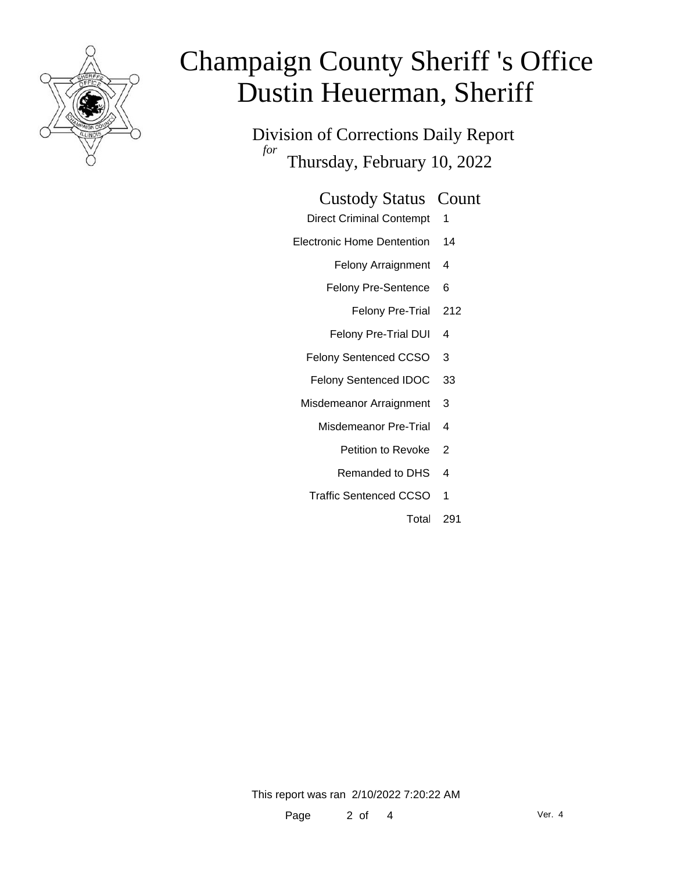

# Champaign County Sheriff 's Office Dustin Heuerman, Sheriff

Division of Corrections Daily Report *for* Thursday, February 10, 2022

#### Custody Status Count

- Direct Criminal Contempt 1
- Electronic Home Dentention 14
	- Felony Arraignment 4
	- Felony Pre-Sentence 6
		- Felony Pre-Trial 212
	- Felony Pre-Trial DUI 4
	- Felony Sentenced CCSO 3
	- Felony Sentenced IDOC 33
	- Misdemeanor Arraignment 3
		- Misdemeanor Pre-Trial 4
			- Petition to Revoke 2
			- Remanded to DHS 4
		- Traffic Sentenced CCSO 1
			- Total 291

This report was ran 2/10/2022 7:20:22 AM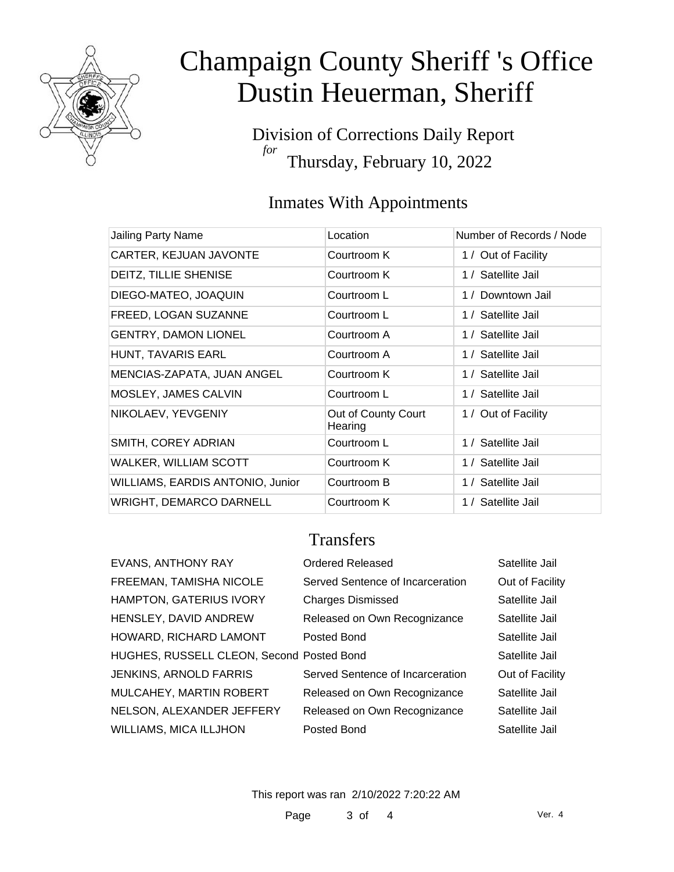

# Champaign County Sheriff 's Office Dustin Heuerman, Sheriff

Division of Corrections Daily Report *for* Thursday, February 10, 2022

### Inmates With Appointments

| Jailing Party Name               | Location                       | Number of Records / Node |
|----------------------------------|--------------------------------|--------------------------|
| CARTER, KEJUAN JAVONTE           | Courtroom K                    | 1 / Out of Facility      |
| <b>DEITZ, TILLIE SHENISE</b>     | Courtroom K                    | 1 / Satellite Jail       |
| DIEGO-MATEO, JOAQUIN             | Courtroom L                    | 1 / Downtown Jail        |
| FREED, LOGAN SUZANNE             | Courtroom L                    | 1 / Satellite Jail       |
| <b>GENTRY, DAMON LIONEL</b>      | Courtroom A                    | 1 / Satellite Jail       |
| HUNT, TAVARIS EARL               | Courtroom A                    | 1 / Satellite Jail       |
| MENCIAS-ZAPATA, JUAN ANGEL       | Courtroom K                    | 1 / Satellite Jail       |
| MOSLEY, JAMES CALVIN             | Courtroom L                    | 1 / Satellite Jail       |
| NIKOLAEV, YEVGENIY               | Out of County Court<br>Hearing | 1 / Out of Facility      |
| SMITH, COREY ADRIAN              | Courtroom L                    | 1 / Satellite Jail       |
| WALKER, WILLIAM SCOTT            | Courtroom K                    | 1 / Satellite Jail       |
| WILLIAMS, EARDIS ANTONIO, Junior | Courtroom B                    | 1 / Satellite Jail       |
| <b>WRIGHT, DEMARCO DARNELL</b>   | Courtroom K                    | 1 / Satellite Jail       |

### **Transfers**

| <b>EVANS, ANTHONY RAY</b>                 | Ordered Released                 | Satellite Jail  |
|-------------------------------------------|----------------------------------|-----------------|
| FREEMAN, TAMISHA NICOLE                   | Served Sentence of Incarceration | Out of Facility |
| <b>HAMPTON, GATERIUS IVORY</b>            | <b>Charges Dismissed</b>         | Satellite Jail  |
| HENSLEY, DAVID ANDREW                     | Released on Own Recognizance     | Satellite Jail  |
| HOWARD, RICHARD LAMONT                    | Posted Bond                      | Satellite Jail  |
| HUGHES, RUSSELL CLEON, Second Posted Bond |                                  | Satellite Jail  |
| <b>JENKINS, ARNOLD FARRIS</b>             | Served Sentence of Incarceration | Out of Facility |
| MULCAHEY, MARTIN ROBERT                   | Released on Own Recognizance     | Satellite Jail  |
| NELSON, ALEXANDER JEFFERY                 | Released on Own Recognizance     | Satellite Jail  |
| <b>WILLIAMS, MICA ILLJHON</b>             | Posted Bond                      | Satellite Jail  |